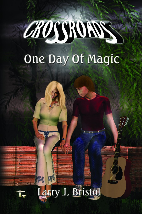# CROSSIONS

## One Day Of Magic



arry J. Bristol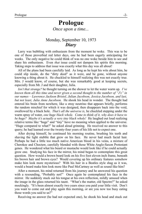### **Prologue** *Once upon a time...*

#### Monday, September 10, 1973 *Diary*

Larry was bubbling with enthusiasm from the moment he woke. This was to be one of those proverbial red letter days, one he had been eagerly anticipating for weeks. The only negative he could think of was no one woke beside him to see and share his enthusiasm. Even *that* issue could not dampen his spirits this morning. Taking steps to address that issue was exactly what this day was all about!

All of the plans had been carefully laid. As long as he kept his wits about him, he could slip inside, do the "dirty deed" as it were, and be gone, without anyone knowing a thing about it. He chuckled to himself realizing this was not exactly true. Mrs. J would know, of course, but she was remarkably good at keeping secrets, especially from Mr. J and their daughter, Julia.

*Isn't that strange?* he thought turning on the shower to let the water warm up. *I've known them all this time and never given a second thought to the number of "J's" in our names – Lawrence Jackson Bristol, Julian Jacobson, Jessica Jacobson, and last, but not least, Julia Anne Jacobson.* He shook his head in wonder. The thought had entered his brain from nowhere, like a stray neutrino that appears briefly, performs the random mischief for which it was designed, then disappears back into the void, swallowed by a black hole. *That's all the universe is,* he chuckled stepping under the warm spray of water, *one huge black whole. Come to think of it, why does it have to be huge? Maybe it's actually a very tiny black whole!* He laughed out loud realizing relative terms like "huge" and "tiny" have no meaning when applied to the universe. "Huge compared to what?" he asked aloud grinning. He received no answer to this query; he had learned over the twenty-four years of his life not to expect one.

After drying himself, he continued his morning routine, brushing his teeth and shaving the light stubble that grew on his face. He never had much facial hair. Perhaps he had a little too much native American blood in his veins, a mixture of Cherokee and Choctaw, carefully blended with those White Anglo-Saxon Protestant genes. He wondered what his beard or mustache would look like if he could actually grow one. Studying his face in the mirror, his mind began to contemplate this great question. How would a brown beard look on his five foot eleven inch frame, beneath his brown hair and brown eyes? Would covering up his ordinary features somehow make him look more mysterious? With his hair in a Beatles style shag as it was, would a beard make him look more like Paul McCartney as well as sound like him?

After a moment, his mind returned from his journey and he answered his question with a resounding, "Probably not!" Once again he contemplated his face in the mirror. He suddenly stuck out his tongue at his own reflection, mildly amused when the image in the glass returned his taunt. "What's the matter, old Spectre?" he asked mockingly. "It's been almost exactly two years since you paid your little visit. Don't you want to come out and play again this morning, or are you now too busy eating those words you said to us?"

Receiving no answer (he had not expected one), he shook his head and stuck out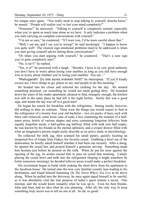his tongue once again. "You really need to stop talking to yourself, doncha know," he mused. "People will realize you've lost your mind completely!"

"Nonsense!" he answered. "Talking to yourself is completely normal, especially when you've spent as much time alone as we have. It only indicates a problem when you start carrying on complete conversations with yourself."

"I'm not so sure," he countered. "If I were you, I'd be more careful about that."

"Well, I *am* me, and I say you're wrong!" he said mockingly. "I happen to know you quite well! The clearest sign emotional problems need to be addressed is when you start giving yourself advice during those conversations!"

"Or when you start arguing with yourself," he countered. "That's a sure sign you've gone completely nuts!"

"No, it isn't!" he replied.

"Yes, it is!" he answered with a laugh. "Besides, I have it on very good authority you don't have to worry about losing your marbles as long as you still have enough wits to worry about whether you're losing your marbles. You see..."

"Mishuganah! Du bist eynss kranken hintl!" he interrupted. "If you'll kindly excuse me, I have things to go, places to see, and people to do this morning."

He headed into his closet and selected his clothing for the day. He needed something practical, yet something he would not mind getting dirty. He bounded down the stairs of his studio apartment, pleased to find, strangely enough, the kitchen was still in the same place he had left it the night before. Surely this was a good sign, and meant the day was off to a good start!

He began his search for breakfast with the refrigerator. Staring inside, however, did nothing to alter its contents. There were the things one would expect to find in the refrigerator of a twenty-four year old bachelor – two six packs of beer, each with three cans removed, some loose cans of soda, a box containing the remains of a halfeaten pizza, bowls of various shapes and sizes containing forgotten leftovers from equally forgotten meals, a half-gallon jug halfway filled with milk (not half empty; he was known by his friends as the eternal optimist), and a crisper drawer filled with what an imaginative person might easily describe as an active study in microbiology.

He collected the milk jug, then scanned his small pantry, quickly locating an unopened box of Grape Nuts Flakes, his favorite cereal. Grabbing a bowl out of the dishwasher, he briefly asked himself whether it had been run recently. After a shrug, he opened the cereal box and poured himself a generous serving. Something made him hesitate just before he poured on the milk. When he put his nose against the opening of the jug, its aroma caused him to pass on cereal that morning. Calmly placing the cereal bowl and milk into the refrigerator (hoping it might somehow be better tomorrow morning), he decided leftover pizza would make a perfect breakfast.

His excitement began to build while making the short drive from his apartment to the Jacobson house. He turned onto the now very familiar country lane leading to his destination, and found himself humming *On The Street Where You Live* as he drove along. When he pulled into the driveway, he once again urged himself to be careful, as it was absolutely vital the true purpose of today's quest remain a secret. One misstep, and she would know instantly what he was up to. Even his best friends, John and Sam, had no idea what he was planning. After all, the only way to keep something truly secret was to tell no one at all. So far, so good!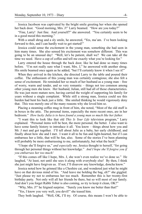Jessica Jacobson was captivated by the bright smile greeting her when she opened her back door. "Good morning, Mrs. J!" Larry beamed. "How are you today?"

"Fine, Larry! Just fine. And yourself?" she answered. "You certainly seem to be in a good mood this morning."

With a small shrug and a sly smile, he answered, "Yes, ma'am. I've been looking forward to this, and I can hardly wait to get started!"

Jessica could sense the excitement in the young man, something she had seen in him many times. She also sensed his excitement was somehow different. This was going to be an unusual day! "Well, let's be patient, shall we? We can take all the time we need. Have a cup of coffee and tell me exactly what you're looking for."

Larry entered the house through the back door, like he had done so many times before. "I'm not really sure what I want, Mrs. J," he answered with another shrug. His smile beamed once again as he added, "but I'll certainly know it when I see it!"

When they arrived in the kitchen, she directed Larry to the table and poured their coffee. The enthusiasm of this young man was certainly contagious; she also felt a sense of excitement. He reminded her so much of her husband as a young man – free of worry, warm and tender, and so very romantic – things not too common among other young men she knew. Her husband, Julian, still had all of those characteristics. He was just more mature now, having carried the weight of supporting his family for years without a single complaint. While still a strong man, Jessica could see this burden had bent his back just a little. She smiled thinking he would vigorously deny that. This was merely one of the many reasons why she loved him so.

Placing a steaming coffee mug in front of him, she noted, "Most of the old stuff is in boxes in the attic. The personal items, especially the more recent ones, are in her bedroom." *How lucky Julia is to have found a young man so much like her father.*

"I want this to look like that old *This Is Your Life* television program," Larry explained. "Personal items will be best, the more personal, the better. I also want to have some family history to introduce it all. You know – things about how you and Mr. J met and got together. I'll tell about Julie as a baby, her early childhood, and finally about how she and I met. I want it all to be fun and light-hearted, but if I can embarrass her a little, that will be fun, also. Some of the stories I've been planning will probably be more embarrassing to me, unfortunately, but what the heck!"

"I hope she'll forgive us," *and especially me,* Jessica thought to herself, "for going through her personal things without her knowledge." *And I hope she'll forgive you if you embarrass her too much!*

"If this comes off like I hope, Mrs. J, she won't even realize we've done so." He laughed, "At least, not until she sees it along with everybody else! By then, I think she just might have forgiven us. If not, I'll disavow any knowledge, doncha know."

Jessica noted how he grinned like a Cheshire cat, and wondered just what he might have on that devious mind of his. "And leave me holding the bag, eh?" she giggled. "Just please try not to embarrass her too much. Remember this is her twenty-first birthday party. Not only will all her friends be there, but so will most of our family. And don't you forget Rabbi Tober is also coming, so try to keep it clean, OK?"

"Why, Mrs. J!" he feigned surprise. "Surely you know me better than that!"

"Yes, I know you very well, you devil!" she teased him.

They both laughed. "Well, OK, I'll try. Of course, this means I won't be able to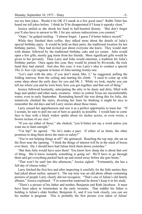use my best jokes. Would it be OK if I sneak in a few good ones? Rabbi Tober has heard me tell jokes before. I think he'll be disappointed if I keep it squeaky clean."

Jessica smiled as she shook her head in half-hearted dismay. "But don't forget you'll also have to answer to Mr. J for any serious indiscretions you commit."

"Oops," he gulped smiling. "I almost forgot. I guess I'd better behave myself."

While they finished their coffee, they talked more about the details of Julia's special birthday party. It would be held on their patio, the traditional location for her birthday parties. They had invited just about everyone she knew. They would start with dinner, followed by the traditional birthday cake and ice cream. Julia would open a few gifts, mostly gag items from her friends. More significant gifts would be given to her privately. Then Larry and John would entertain, a tradition for Julia's birthday parties. Once again this year, they would be joined by Riverside, the rock band they had started. And also this year, it was Larry's idea to conduct a special *This Is Your Life* segment in honor of Julia turning twenty-one.

"Let's start with the attic, if you don't mind, Mrs. J," he suggested, pulling the folding stairway from the ceiling and starting his climb. "I need to come up with some ideas about the early days for you and Mr. J. While we look, maybe you can tell me where you and he were born, how you got together, and that sort of thing."

Jessica followed hesitantly, anticipating the attic to be dusty and dirty, filled with bugs and spiders and other nasty creatures. Attics in central Texas are uncomfortably warm, even in early September. Reminding herself she was doing this for Julia, she tentatively climbed the stairs, diverting her fears by thinking it might be nice to remember the old days and tell Larry stories about those times.

Larry sensed her apprehension and saw it as a perfect opportunity to tease her. "If I scream, be sure to pull me out of here as quickly as possible. I would hate to come face to face with a black widow spider about six inches across, or even worse, a brown recluse of *any* size."

"If you see either of those," she choked, "you'd better not say a word unless you want me to faint outright."

"I'm hip!" he agreed. "So let's make a pact. If either of us faints, the other promises to drag them down the stairs to safety!"

"You're not helping things at all!" she grimaced. Reaching the top step, she sat on the floor near the opening. "I think the things of interest will be in the stack of boxes over there. Oy, I should have had Julian fetch them down yesterday."

"But then Julie would have seen them! You know how sharp she is about that sort of thing. She'd know instantly something is going on! We'll have to go through them and get everything packed back up and stored away before she gets home."

"That won't be until late this afternoon," Jessica sighed. "Fortunately, she has a full day of classes today."

Larry fetched the first box and after inspecting it carefully for the little nasties they had joked about earlier, opened it. The top item was an old photo album containing pictures of people Larry clearly did not recognize. "That's one of Julian's old family albums," Jessica explained. "I'm somewhat surprised he doesn't keep it in his study.

"There's a picture of his father and mother, Benjamin and Ruth Jacobson. It must have been taken in Amsterdam in the early twenties. That toddler his father is holding is Julian's older brother, Benjamin Jr., and if you look closely, you can see his mother is pregnant. This is probably the first picture ever taken of Julian!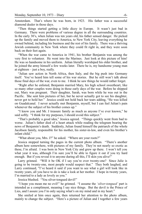Amsterdam. That's where he was born, in 1923. His father was a successful diamond dealer in those days.

"Then things started getting a little dicey in Europe. It wasn't just bad in Germany. There were problems of various degree in all the surrounding countries. In the early 30's, when Julian was ten years old, his father sensed danger. He picked up the family and moved them to America, to New York City, leaving everything he owned behind, including his business and the rest of his family. There was a thriving Jewish community in New York where they could fit right in, and they were soon back on their feet again.

"When the war came to America in 1941, his brother Benjamin was among the very first to volunteer. He went into the Marines. Just look at this picture of him! He was so handsome in his uniform. Julian literally worshiped his older brother, and he joined the army himself a few weeks later. There he is, my handsome young man at eighteen – just a boy, really.

"Julian saw action in North Africa, then Italy, and the big push into Germany itself. You've heard him tell some of his war stories. But he still won't talk about those final days of the war, even to me. I think he saw things he would rather forget.

"Right after he enlisted, Benjamin married Mary, his high school sweetheart, like so many other couples were doing in those early days of the war. Before he shipped out, Mary was pregnant. Their daughter, Sarah, was born while he was out in the Pacific. She sent him pictures of her, but he never actually got to see his daughter, never got to hold her." Jessica could not hold back her tears adding, "He was killed on Guadalcanal. I never actually met Benjamin, myself, but I can feel Julian's pain whenever the subject of his brother comes up."

"I know you and Mr. J treasure family as much as anyone I've ever known," he said softly. "I think for my purposes, I should avoid this subject."

"That's probably a good idea," Jessica agreed. "Things quickly went from bad to worse. Julian's father died of a heart attack while reading the telegram bearing the news of Benjamin's death. Suddenly, Julian found himself the patriarch of the whole Jacobson family, responsible for his mother, his sister-in-law, and even his brother's infant child."

"What about you, Mrs. J?" he asked. "Where are your roots?"

Jessica stopped turning the pages in the current photo album. "There's another album here somewhere, with pictures of my family. They're not nearly so exotic as these, I'm afraid. I was born in New York City and grew up there. I won't tell you what year it was, although I'm sure you'll be able to figure it out if you try hard enough. But if you reveal it to anyone during all this, I'll skin you alive!"

Larry grinned. "Will it be OK if I say you're over twenty-one? Since Julie is going to be twenty-one, most people would suspect that." They both laughed, and Larry continued, "I've heard it said if you want to see what a girl will look like in twenty years, all you have to do is take a look at her mother. I hope in twenty years, I'm married to a lady as lovely as you."

Jessica blushed. "You silver-tongued devil!"

"I hope you mean me no evil!" he grinned. "I assume the *'silver-tongued'* part is intended as a compliment, meaning I say nice things. But the devil is the Prince of Lies, and I assure you I'm only saying what's on my mind and in my heart."

She smiled at him once again, then returned her attention to the photo album, mainly to change the subject. "Here's a picture of Julian and I together a few years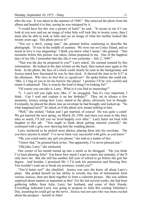after the war. It was taken in the summer of 1949." She removed the photo from the album and handed it to him, seeing he was intrigued by it.

"I would have bet this was a picture of Julie!" he said. "It occurs to me if I can look at you now and see an image of what Julie will look like in twenty years, then I must also be able to look at Julie and see an image of what her mother looked like twenty years ago. This photo proves it!"

"You *are* a devil, young man," she grinned before continuing to describe the photograph. "It was in the middle of summer. We were out on Coney Island, and so much in love it was disgusting! I think you know what I mean," she grinned. "Just moments before this picture was taken, Julian proposed to me. One of the happiest days of my life, I remember that day like it was yesterday – July 2, 1949."

"That was the day he proposed to you?" Larry asked. He seemed stunned by this information. He looked at the date written on the back, then turned once again to the front. In the photo, the face of a clock could clearly be seen in the background, and Jessica noted how fascinated he was by that clock. It showed the time to be 4:37 in the afternoon. *Why does he find that so significant?* He spoke before she could ask. "Mrs. J, I beg of you to let me borrow this photo! I promise I'll be very careful and return it unharmed! This is exactly the kind of thing I'm looking for!"

"Of course you can take it, Larry. What is it you find so interesting?"

"I... I can't tell you right now, Mrs. J," he struggled, "but it's very important, I think. Can I wait and explain it on her birthday?" They sat in silence a few moments, Jessica noting how Larry stared at the photo, obviously lost in thought. Eventually, he placed the photo into an envelope he had brought, and looked up. "So what happened next?" he asked, as if the photo now meant nothing to him.

"Well," she smiled, "Julian and I got married, of course! He was quite a catch! We got married the next spring, on March 20, 1950, and since you seem to like fairy tales so much, I'll tell you we lived happily ever after." Larry burst out loud with laughter at this jab. "You ought to think about getting married yourself," she continued with a grin, now showing him the wedding photos.

Larry snickered as he picked more photos, placing them into his envelope. "Do you have anyone in mind? I've never been very successful with girls, as you know."

"Oh, you could marry any girl you please," she said as a matter of fact.

"I know that," he grinned back at her, "but apparently, I've never pleased one."

"Old joke, Larry," she snickered.

One corner of his mouth turned up into a smirk as he shrugged. "Do you think I've been pleasing Julie? You know how much I want to marry her someday, if she'll only have me. But she still has another full year of school to go before she gets her degree. And besides, I promised Mr. J I'd seek his permission and blessing first. You wouldn't want me to break my promises, would you?"

"You'd better not!" she chuckled. Jessica was sure she knew all about Larry's plans. She prided herself on her ability to wrestle tiny bits of information from various sources, then put them together to form a coherent picture. She was seldom surprised about matters as important as this! For the last several weeks, she had been gathering tidbits from Julia, Larry, her husband, and some of their friends. Everything indicated Larry was going to propose to Julia this coming Valentine's Day, assuming he could get up the nerve. Jessica was not sure who was more excited about the prospect – herself or Julia!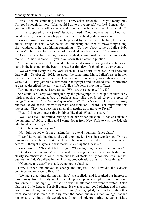"Mrs. J, tell me something, honestly," Larry asked seriously. "Do you really think I'm good enough for her? What could I do to prove myself worthy? I mean, don't you think there's some other man who'd make her much happier than I ever could?"

"Is this supposed to be a joke?" Jessica grinned. "You know as well as I no man could possibly make her any happier than she'll be the day she marries you!"

Jessica sensed Larry was extremely pleased by her answer. In fact, he seemed almost smug about it! When he smiled innocently and tried to move things along, she wondered if he was hiding something. "So how about some of Julie's baby pictures? I hope you have a picture of her naked on a bear skin rug!" he grinned.

"As a matter of fact, we do," Jessica laughed, setting aside her suspicions for the moment. "She's liable to kill you if you show this picture in public."

"I'll take my chances," he smiled. He gathered various photographs of Julia as a baby in the hospital, on the bear skin rug, her first day of school, and other events.

"We were still living in New York when Julia was born, of course. You know the date well – October 22, 1952. At about the same time, Mary, Julian's sister-in-law, lost her battle with cancer, and we legally adopted our niece, Sarah, then nearly ten years old." Larry gathered a few more photographs and absorbed vital information as Jessica described the early years of Julia's life before moving to Texas.

Turning to a new page, Larry asked, "Who are these people, Mrs. J?"

She could see Larry was intrigued by the photograph of a couple in their early thirties, posing behind a boy of perhaps ten. She wondered, *Is that a look of recognition on his face he's trying to disguise?* "That's one of Julian's old army buddies, David Udasel, his wife Barbara, and their son Richard. You might find this interesting. They were very instrumental in getting us to move to Texas!"

"Really? I'm very interesting in things like that! What's the story?"

"Well, let's see," she smiled, putting aside her earlier question. "That was taken in the summer of 1961. Julian and I came down from New York to visit the Udasels who lived here in Bryan."

"Did Julie come with you?"

"No. Julia stayed with her grandmother to attend a summer dance class."

"I see," Larry said looking slightly disappointed. "I was just wondering... Do you remember the night we first met how Julie was sure she'd seen me somewhere before? I thought maybe she saw me while visiting the Udasels."

Jessica smiled. "Nice shot but no cigar. Why is figuring that out so important?"

"Oh, it's not important, Mrs. J," he said dismissing the idea, even though she could clearly see otherwise. "Some people put a lot of stock in silly coincidences like that, but not me. I don't believe in fate, kismet, predestination, or any of those things."

"Of course not, dear," she said, trying not to chuckle.

Larry blushed and moved to change the subject. "So, how did the Udasels convince you to move to Bryan?"

"We had a great time during that visit," she replied, "and it sparked our interest to move away from the city so Julia could grow up in a simpler, more easygoing environment. The highlight of the trip was the afternoon we went to watch Dickie play in a Little League Baseball game. He was a pretty good pitcher, and his team won by something like one hundred to three," she giggled, "and in truth, the other team scored those three runs only after the coach put in a much younger backup pitcher to give him a little experience. I took this picture during the game. Little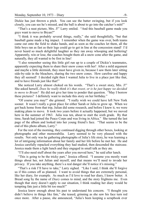Dickie has just thrown a pitch. You can see the batter swinging, but if you look closely, you can see he's missed, and the ball is about to go into the catcher's mitt!"

"That's a neat picture, Mrs. J!" Larry smiled. "And this baseball game made you guys want to move to Bryan?"

"I think it was probably several things, really," she said thoughtfully, "but that baseball game made a big impact. I remember when the game was over, both teams came out onto the field to shake hands, and as soon as the coaches let them, all the little boys ran as fast as their legs could go to get in line at the concession stand! I'd never heard so much delightful laughter as they ran away whooping and hollering! Apparently, win or lose, the coaches bought them all a snow cone after the game, and naturally, they all wanted to be first in line!

"I also remember seeing this little girl run up to a couple of Dickie's teammates, apparently expecting them to share their snow cones with her! After a mild argument and maybe a little skirmish, they must have given in, because I saw them later sitting side-by-side in the bleachers, sharing the two snow cones. How carefree and happy they all seemed! I decided right then I wanted Julia to live in a place just like that, and to have friends just like that!"

She noticed Larry almost choked on his words. "That's a sweet story, Mrs. J!" She asked herself, *Does he really think it's that sweet, or is he just happy we decided to move to Bryan?* He did not give her time to ponder that question. "May I borrow these pictures? I definitely want to include this story on her birthday."

"Of course you may!" she grinned. "I really wish we could have left New York sooner. It wasn't really a great place for either Sarah or Julia to grow up. When we got back home from that trip, Julian did some research, and before I knew it, we were making plans to move. It took two years before it actually happened, but we moved here in the summer of 1963. Julia was ten, about to start the sixth grade. By that time, Sarah had joined the Peace Corps and was living in Africa." She turned the last page of the album and looked into her young friend's face. "That seems to be the end of this photo album, Larry."

For the rest of the morning, they continued digging through other boxes, looking at photographs and other memorabilia. Larry seemed to be very pleased with the results. Not only was he gathering photographs of Julia's life story, he was learning a lot of intriguing information about her family and her life before he met her. He and Jessica carefully repacked everything they had studied, then descended the staircase. Jessica made them a light lunch and they engaged in small talk as they ate.

"I'll also need stuff about the years after you moved here," he said after lunch.

"This is going to be the tricky part," Jessica offered. "I assume you mostly want things about her, not Julian and myself, and that means we'll need to invade her privacy. If you take anything, there's a real danger she'll notice it's missing."

"That's a risk I'll have to take," Larry sighed. "Like I said, I think she'll forgive us if this comes off as planned. I want to avoid things that are extremely personal, like her diary, for example. As much as I'd love to read her diary, I know better. A Bread song by the name of *Diary* comes to mind, and the story frightens me. Even though that story doesn't apply to our situation, I think reading her diary would be tempting fate just a little bit too much!"

Jessica knew enough about his past to understand his concern. "I thought you didn't believe in things like fate," she teased, grinning as she saw his face turn red once more. After a pause, she announced, "Julia's been keeping a scrapbook ever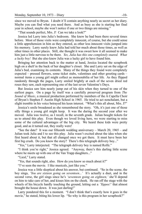since we moved to Bryan. I doubt it'll contain anything nearly as secret as her diary. Maybe you can find what you need there. And as busy as she is starting her final year in school, maybe she won't notice if one or two things are missing."

"That sounds perfect, Mrs. J! Can we take a look?"

Jessica led Larry into Julia's bedroom. She knew he had been there several times before. Most of those visits were completely innocent, of course, but she could sense a little apprehension in him as they entered, as other less innocent visits jumped into his memory. Larry surely knew Julia had told her much about those times, as well as other times in other places. Still, she thought it was sweet how it all seemed to make him just a little nervous to be there. *Yes, Julia has this one completely snared. What a lucky boy!* But she also knew Julia was a lucky girl to have found him.

Bringing her attention back to the matter at hand, Jessica located the scrapbook high on a shelf in the back of her daughter's closet. She and Larry sat on the edge of Julia's bed, examining its contents. Many of the things they found were completely expected – pressed flowers, some ticket stubs, valentines and other greeting cards – normal items a young girl might collect as memorabilia of her life. As they flipped randomly through the pages, Larry smiled brightly at each of the seven dried red roses they saw, each representing one of the last seven Valentine's Days.

But Jessica saw him nearly jump out of his skin when they turned to one of the earliest pages. On a page by itself was a carefully preserved program from *The Sound of Music*, a musical production performed by members of the A Capella Choir of Bryan's Stephen F. Austin High School in 1965. He tried to act nonchalant, but a slight tremble in his voice betrayed his keen interest. "What's this all about, Mrs. J?"

Jessica's smile broadened as she remembered the story. "Oh, it's just one of those silly things a young girl might keep. It was the during the second year after we moved. Julia was twelve, as I recall, in the seventh grade. Julian bought tickets for us to attend this play. Even though we loved living here, we were starting to miss some of the cultural advantages of the big city. We heard these kids were pretty good, and as it turned out, they really were!

"See the date? It was our fifteenth wedding anniversary – March 20, 1965 – and Julian took Julia and I to see this play. Julia wasn't excited about the idea when she first heard about it, but that all changed once we got there. It must have been her first big crush. Do you know the story? There's this telegraph delivery boy..."

"Yes," Larry interjected. "The telegraph delivery boy is named Rolfe."

"I think you're right," Jessica agreed. "Anyway, there's this darling little scene where he meets up with one of the Van Trapp daughters..."

"Liesl," Larry stated.

"Yes, that sounds right, also. How do you know so much about it?"

"I've seen the movie. I like musicals, just like you."

Jessica was a little skeptical about his answer, but continued. "So in the scene, the boy sings, *'You are sixteen going on seventeen...'* It's actually a duet, and in the second verse, the girl sings since he's *'seventeen going on eighteen,'* she'll depend on him to take care of her, and kisses him on the cheek. He ran off the stage with the wheels of his bicycle hardly touching the ground, letting out a *'Yippee!'* that almost brought the house down. It was just darling!"

Larry pondered this for a moment. "I don't think that's exactly how it goes in the movie," he stated, biting his lower lip. "So why is this program in her scrapbook?"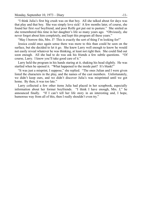"I think Julia's first big crush was on that boy. All she talked about for days was that play and that boy. She was simply love sick! A few months later, of course, she found her first *real* boyfriend, and poor Rolfe got put out to pasture." She smiled as she remembered this time in her daughter's life so many years ago. "Obviously, she never forgot about him completely, and kept this program all these years."

"May I borrow this, Mrs. J? This is exactly the sort of thing I'm looking for!"

Jessica could once again sense there was more to this than could be seen on the surface, but she decided to let it go. She knew Larry well enough to know he would not easily reveal whatever he was thinking, at least not right then. She could find out soon enough. All she had to do was ask his friends a few subtle questions. "Of course, Larry. I know you'll take good care of it."

Larry held the program in his hands staring at it, shaking his head slightly. He was startled when he opened it. "What happened to the inside part? It's blank!"

"It was just a misprint, I suppose," she replied. "The ones Julian and I were given listed the characters in the play, and the names of the cast members. Unfortunately, we didn't keep ours, and we didn't discover Julia's was misprinted until we got home. By then, it was too late."

Larry collected a few other items Julia had placed in her scrapbook, especially information about her former boyfriends. "I think I have enough, Mrs. J," he announced finally. "If I can't tell her life story in an interesting and, I hope, humorous way from all of this, then I really shouldn't even try."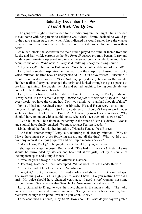#### Saturday, December 10, 1966 *I Get A Kick Out Of You*

The gang was slightly shorthanded for the radio program that night. Julia decided to stay home with her parents to celebrate Chanukah. Jimmy decided he would go to the radio station stag, even when John indicated he would rather have the chance to spend more time alone with Helen, without his kid brother looking down their necks.

At 8:00 o'clock, the speaker in the main studio played the familiar theme from the Rocky and Bullwinkle cartoon as the *Top Forty Showcase* program began. Larry and Linda were intimately squeezed into one of the sound booths, while John and Helen occupied the other. "And now..." Larry said imitating Rocky the flying squirrel.

"Hey, Rocky!" John said as Bullwinkle. "Watch me pull a rabbit out of my hat!"

Larry had a sudden inspiration and varied from the script. Still using the Rocky voice imitation, he fired back an unexpected ad lib. "Out of your *what*, Bullwinkle?"

John continued as if on cue. "See? Nothing up my sleeve," he said as Bullwinkle. He then realized Larry had changed the script and looked through the glass panels to see Larry grinning. He caught the joke and started laughing, having completely lost control of the Bullwinkle character.

Larry began a tirade of ad libs, still in character, still using his Rocky imitation. "Every week, it's the same old thing. *'Watch me pull a rabbit out of my hat!'* And every week, you have the wrong hat. Don't you think we've all had enough of this?"

John still had not regained control of himself. He and Helen were just sitting in the booth laughing on the air. So Larry continued, "I shouldn't have to work under such conditions. Look at me! I'm a *star!* I have my own television show. Why should I have to put up with a stupid moose who can't keep track of his own hat?"

"Bwah-ha-ha-ha!" he said next, switching to the voice of Boris Badenov. "Moose and squirrel have finally cracked. We must contact Fearless Leader!"

Linda joined the fun with her imitation of Natasha Fatale, "Yes, Borees!"

"And that's another thing," Larry said, returning to his Rocky imitation. "Why do I have these inept spy types following me around all the time? Why would a spy have any interest in a flying squirrel and his stupid moose sidekick?"

"I don't know, Rocky," John giggled as Bullwinkle, trying to recover.

"Shut up, you stupid moose!" Rocky said. "I've had it. I'm a star! A star like me should be surrounded by starlets and beautiful show girls, not by a couple of incompetent spies and a stupid moose!"

"I weel be your showgirl," Linda offered as Natasha.

"Defecting, Natasha?" Boris interrupted. "What weel Fearless Leader think?"

"I'm not afraid of Fearless Leader," Natasha said.

"Forget it," Rocky continued. "I need starlets and showgirls, not a retired spy. The worst thing of all is this high pitched voice I have! Do you realize how old I am? My voice should have changed years ago. I need a *real* woman, not some cartoon floozy. Say, where is that Sam chick? Now *there's* a real woman!"

Larry signaled to Diggs to cue the microphone in the main studio. The radio audience heard Sam and Jimmy laughing. Seeing the microphone was on, Sam recovered enough to respond, "What do you want, Rocky?"

Larry continued his tirade, "Hey, Sam! How about it? What do you say we grab a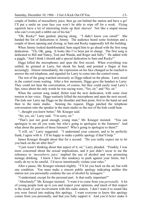couple of bottles of mooseberry juice, then go out behind the station and have a go! I'll put a smile on your face you won't be able to wipe off for a week. Flying squirrels have a lot of interesting tricks up their sleeves! Not like a stupid moose who can't even pull a rabbit out of his hat."

"Oh, Rocky!" Sam gushed, playing along. "I didn't know you cared!" She handed the list of dedications to Jimmy. The audience heard some footsteps and a couple of doors opening and closing, as Sam and Rocky supposedly left the building.

When Jimmy looked dumbfounded, Sam urged him to go ahead with the first song dedication. "Uh, OK, gang. It looks like I've been put in charge. The first song is dedicated to Bill and Nancy, Tom and Wanda, and Roger and Sally." He added with a giggle, "And I think I should add a special dedication to Sam and Rocky!"

Diggs killed the microphones and spun the first record. When everything was settled, he grinned at Larry, but shook his head, and pointed a finger at him accusingly. Almost immediately, the expression on his face changed as he reached to answer the red telephone, and signaled for Larry to come into the control room.

The rest of the gang watched anxiously as Diggs talked on the phone. Larry stood in the control room waiting. After a few moments, Diggs gave the handset to Larry. They could not hear the conversation, of course, but they could easily read Larry's lips, since about the only words he was saying were, "Yes, sir," and "No, sir."

When the current song ended, Helen read the next dedication, with some clear tension in her voice. Diggs routinely killed the microphone and spun the next record. The kids saw Larry tap Diggs on the shoulder and then point, first to the hand set and then to the main studio. Sensing his request, Diggs patched the telephone conversation onto the speaker in the main studio so the rest of the kids could hear.

"...thought you knew better," Mr. Krueger said.

"Sir, yes, sir," Larry said. "I'm sorry, sir."

"That's just not good enough, young man," Mr. Krueger insisted. "You can apologize to me all you want, but who's going to apologize to the listeners? And what about the parents of those listeners? Who's going to apologize to them?"

"I will, sir," Larry suggested. "I understand your concern, and to be perfectly frank, I agree with it. I'll be happy to make a public apology if that'll help."

James Krueger thought about that for a second. "Do you really expect me to let you back on the air after this?"

"I just wasn't thinking about that aspect of it, sir," Larry pleaded. "Frankly, I was more concerned about the sexual implications, and it just didn't occur to me the reference to *'mooseberry juice'* implied the use of alcohol and was promoting teenage drinking. I know I have this tendency to push against your limits, but I really do try to be careful. I'd never intentionally violate your rules."

After a pause, Mr. Krueger relented slightly. "I'll let you back on the air, but with one condition. You must make a sincere public apology indicating neither this station nor you personally condone the use of alcohol by teenagers."

"I understand, except for the personal part. Is that really important?"

"Absolutely!" Mr. Krueger insisted. "I want it to come from you *personally*. A lot of young people look up to you and respect your opinions, and much of that respect is the result of your involvement with this radio station. I don't want it to sound like you were forced into making this apology. I want everyone to know this apology comes from you personally, and that you fully support it. And you'd *better* make it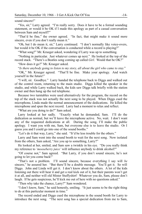sound sincere!"

"Yes, sir," Larry agreed. "I'm really sorry. Does it have to be a formal sounding statement, or would it be OK if I made this apology as part of a casual conversation between Sam and myself?"

"That'd be fine," the owner agreed. "In fact, that might make it sound more sincere, even if you don't really mean it."

"Oh, but I do mean it, sir," Larry continued. "I don't normally like voice-overs, but would it be OK if the conversation is conducted while a record is playing?"

"What song?" Mr. Krueger asked, wondering if Larry was up to something.

"Nothing in particular. Just whatever comes up next." He looked at the top of the record stack. "There's a Beatles song coming up called *Girl*. Would that be OK?"

"How does it go?" Mr. Krueger asked.

"*Is there anybody going to listen to my story, all about the girl who came to stay.*"

"OK," Mr. Krueger agreed. "That'll be fine. Make your apology. And watch yourself in the future!"

"I will, sir. Goodbye." Larry handed the telephone back to Diggs and walked out of the control room, returning to the main studio. Diggs killed the speaker in the studio, and while Larry walked back, the kids saw Diggs talk briefly with the station owner and then hang up the red telephone.

Because two turntables were used alternatively for the program, the record on the top of the stack was not actually the next song to be played. When Diggs cued the microphone, Linda made the normal announcement of the dedications. He killed the microphone and spun the next record. Larry had a moment to relax and reflect.

"What are you doing to do?" Sam asked.

Larry looked at her sadly. "Exactly what he demanded, Sam. I'll do the dedication as normal, but we'll leave the microphone active. No, wait. I don't want any of the requested dedications at all. During the song, I'll make the public apology. I want you with me, Sam, but everyone else is to leave the studio. Or I guess you and I could go into one of the sound booths."

"Let's do it that way, Larry," she said. "It'd be less trouble for the others."

Larry and Sam went into the sound booth to wait for the next song. Now isolated from the others, Sam asked, "Are you up to something, Larry?"

He looked at her, smiled, and Sam saw a twinkle in his eye. "Do you really think my reference to *'mooseberry juice'* will influence anybody to drink alcohol?"

"Of course not," Sam agreed. "But Larry, if you don't sound sincere, he's not going to let you come back!"

"That's not a problem. I'll sound sincere, because everything I say will *be* sincere," he assured her. "But there'll be a double message. You'll get it. So will Diggs. John and Linda will get it. I don't know about the others. A lot of the kids listening out there will hear it and get a real kick out of it, but their parents won't get it at all, and neither will old Mister Stuffyshirt! Whatever you do, Sam, please don't laugh. If he gets suspicious, he'll kick me out of here with no questions asked."

"Then why take the chance, Larry?" Sam wondered.

"I don't know, Sam," he said honestly, smiling. "It just seems to be the right thing to do at this particular moment in time."

The record ended and Diggs cued the microphone in the sound booth for Larry to introduce the next song. "The next song has a special dedication from me to Sam,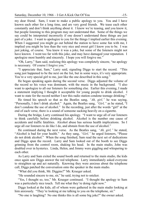my dear friend. Sam, I want to make a public apology to you. You and I have known each other for a long time, and are very good friends. We tease each other constantly and don't think anything about it. I know we're teasing, and you know it, but people listening to this program may not understand that. Some of the things we say could be interpreted incorrectly if one doesn't understand these things are just part of a joke. I want to apologize to you for the things I implied earlier this evening. When I suggested you might go out behind the station to have some fun with me, I implied you might be less than the very nice and sweet girl I know you to be. I was just joking, of course. You knew it was a joke, but some of the listeners might not have known. I went too far with this joke, and may have damaged your reputation. I apologize most humbly and sincerely. I hope you will forgive me."

"Oh, Larry," Sam said, realizing this apology was completely sincere, "no apology is necessary. Of course I forgive you."

"I appreciate that, Sam," Larry said, signaling Diggs to start the record. "This song just happened to be the next on the list, but in some ways, it's very appropriate. You're a very special girl to me, just like the one described in this song."

He began speaking again during the second verse. Diggs adjusted the volume of the record so his voice was dominant, with the music in the background. "I also want to apologize to all our listeners for something else. Earlier this evening, I made a statement implying I thought it acceptable for young people to drink alcohol. I want to state for the record neither I nor this radio station condone teenage drinking."

He timed his speech so that as the Beatles sang, *"Ah, girl,"* he was saying, "Personally, I don't drink alcohol." Again, the Beatles sang, *"Girl,"* as he stated, "I don't condone the use of alcohol." In the recording, just after the words "girl" at the end of each verse, there is a sound of someone sucking heavily on a cigarette.

During the bridge, Larry continued his apology. "I want to urge all of our listeners to think carefully before drinking alcohol. Alcohol is the number one cause of accidents and traffic fatalities. Alcohol abuse has serious health implications. So I urge all our listeners to do like I do, and abstain from the use of alcohol."

He continued during the next verse. As the Beatles sang, *"Ah, girl,"* he stated, "Alcohol is bad for your health." As they sang, *"Girl,"* he urged listeners, "Please do not drink alcohol." When the song finished, Sam read the next set of dedications and Diggs spun the record. Larry and Sam looked out of the booth to see Diggs grinning from the control room, shaking his head. In the main studio, John was doubled over in hysterics. Linda, Helen, and Jimmy were giggling and whispering to each other.

As Larry and Sam exited the sound booth and returned to the main studio, the kids once again saw Diggs answer the red telephone. Larry immediately asked everyone to straighten up and act naturally. Knowing they were anxious about the telephone call, Diggs patched the conversation onto the speaker in the main studio.

"What did you think, Mr. Diggins?" Mr. Krueger asked.

"He sounded sincere to me, sir," he said, trying not to snicker.

"Yes, I thought so, too," Mr. Krueger continued. "I thought the apology to Sam was a particularly nice touch. Tell me what they're doing right now."

Diggs looked at the kids, all of whom were gathered in the main studio looking at him anxiously. "They're looking at me talking to you on the telephone, sir."

"No one is laughing? No one thinks this is all some big joke?" the owner asked.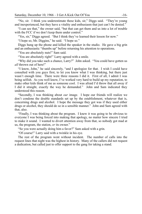"No, sir. I think you underestimate these kids, sir," Diggs said. "They're young and inexperienced, but they have a vitality and enthusiasm that just can't be denied."

"I can see that," the owner said, "but that can get them and us into a lot of trouble with the FCC if we don't keep them under control."

"Yes, sir," Diggs agreed. "But I think they've learned their lesson for now."

"I hope so, Mr. Diggins," he said. "I hope so."

Diggs hung up the phone and killed the speaker in the studio. He gave a big grin and an enthusiastic "thumbs up" before returning his attention to operations.

"You are absolutely nuts!" Sam said.

"You are absolutely right!" Larry agreed with a smile.

"Why did you take such a chance, Larry?" John asked. "You could have gotten us *all* thrown out of here!"

"I know, John," he said sincerely, "and I apologize for that. I wish I could have consulted with you guys first, to let you know what I was thinking, but there just wasn't enough time. There were three reasons I did it. First of all, I admit I was being selfish. As you well know, I've worked very hard to build up my reputation, to make other kids think of me as someone cool. I was afraid I'd throw that all away if I did it straight, exactly the way he demanded." John and Sam indicated they understood this reason.

"Secondly, I was thinking about *our* image. I hope our friends will realize we don't condone the double standards set up by the establishment, whatever that is, concerning drugs and alcohol. I hope the message they got was if they used either drugs or alcohol, they should do so in a sensible manner." John and Sam agreed with that, also.

"Finally, I was thinking about the program. I knew it was going to be obvious to everyone I was being forced into making that apology, no matter how sincere I tried to make it sound. I wanted to divert attention away from that, so nobody got mad at us, the program, the station, *or* its owner."

"So you were actually doing him a favor?" Sam asked with a grin.

"Of course!" Larry said with a twinkle in his eye.

The rest of the program went without incident. The number of calls into the request lines that night was the highest in history. Many of the callers did not request a dedication, but called just to offer support to the gang for taking a stand.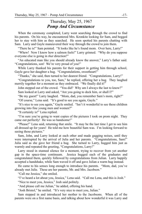#### Thursday, May 25, 1967 *Pomp And Circumstance*

When the ceremony completed, Larry went searching through the crowd to find his parents. On his way, he encountered Mrs. Kronkite looking for Sam, and begged her to stay with him as they searched. He soon spotted his parents chatting with Sam. Larry and Gayle maneuvered their way through the crowd to join them.

"There he is!" Sam pointed. "It looks like he's found mom. Over here, Larry!"

"Whew! Now I know how a salmon feels!" Larry grinned. "Why do you suppose everyone else is going in *that* direction?"

"An educated man like you should already know the answer," Larry's father said. "Congratulations, son! We're very proud of you!"

While Larry thanked his parents for their support in getting him through school, Gayle gave her daughter a hug. "Congratulations, sweetheart!"

"Thanks," she said, then turned to her dearest friend. "Congratulations, Larry!"

"Congratulations to you, too, Sam," he replied, offering her a hug. They laughed merrily together for a moment as they embraced. "We finally did it!"

John stepped out of the crowd. "You did? Why am I always the last to know?"

Sam looked at Larry and asked, "Are you going to deck him, or shall I?"

"Be my guest!" Larry laughed. "Mom, dad, you remember Sam's mom, right?"

"Of course," Lena said. "It's good to see you again, Gayle."

"It's nice to see you again," Gayle smiled. "Isn't it wonderful to see these children growing into fine young men and women?"

"It certainly is!" Lena replied.

"I'm sure you're going to want copies of the pictures I took on prom night. They came out perfectly! He was so handsome!"

"Please!" Lena said, returning that smile. "It may be the last time I get to see him all dressed up for years! He told me how beautiful Sam was. I'm looking forward to seeing those pictures."

Sam, John, and Larry looked at each other and made gagging noises, until they were interrupted by the arrival of Julia and her parents. "Congratulations, Sam!" Julia said as she gave her friend a hug. She turned to Larry, hugged him just as warmly and repeated the greeting, "Congratulations, Larry!"

Larry stood in stunned silence for a moment, trying to recover from yet another gap in the space-time continuum. Jessica hugged each of the graduates and congratulated them, quickly followed by congratulations from Julian. Larry happily accepted a handshake, while Sam waved it off and gave Julian a warm hug instead.

He came to his senses long enough to introduce his parents. "Mom, dad, you've already met Julie. These are her parents, Mr. and Mrs. Jacobson."

"Call me Jessica," she smiled.

"I've heard a lot about you, Jessica," Lena said. "Call me Lena, and this is Josh."

"Nice to meet you, Jessica," Josh said politely.

"And please call me Julian," he added, offering his hand.

"Josh Bristol," he smiled. "It's very nice to meet you, Julian."

Sam stepped in and introduced her mother to the Jacobsons. When all of the parents were on a first name basis, and talking about how wonderful it was Larry and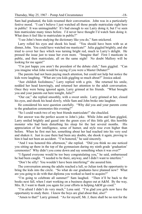Sam had graduated, the kids resumed their conversation. John was in a particularly festive mood. "I can't believe I just watched all those people matriculate right here in public! It was unimaginable! It's bad enough to see Larry doing it, but I've seen him matriculate many times before. I'd never have thought I'd watch Sam doing it. What does it feel like to matriculate in public?"

"I see John's been studying the dictionary like you do," Sam snickered.

Larry rolled his eyes and shook his head. "You should have been with us at dinner, John. You could have watched me masticate!" Julia giggled brightly, and she tried to cover her face which was turning bright red, much to Larry's delight. He pressed the issue just to tease her even more. "Imagine that! First I masticate in public, and then matriculate, all on the same night! No doubt Mallory will be looking for me again!"

"I'm just happy you aren't the president of the debate club," Sam giggled. "Can you imagine what John would be saying if you were a Master Debater?"

The parents had not been paying much attention, but could not help but notice the kids were laughing. "What are you kids giggling so much about?" Jessica asked.

"Just childish foolishness," Larry replied with a grin. She returned his smile, nodded her head knowingly, and returned her attention to the adult conversation. Once they were being ignored again, Larry grinned at his friends. "What brought you and your parents out here tonight, Julie?"

"Our car," she replied smoothly, with a sweet smile. Larry grinned at her, closed his eyes, and shook his head slowly, while Sam and John broke into laughter.

He considered his next question carefully. "Why did you and your parents come to the graduation ceremonies this evening?"

"So I could watch two of my best friends matriculate!" she chuckled.

Her answer was the perfect accent to John's joke. While John and Sam giggled, Larry smiled brightly and gazed into the green eyes of this little girl, this horrible monster who had been disturbing his sleep for the last several months. His appreciation of her intelligence, sense of humor, and style rose even higher than before. When he first met her, something about her had reached into his very soul and shaken it. Just in case there had been any doubts, she shook it again, proving to him it had not been an accident. "I'm honored," he said sincerely.

"And I was honored this afternoon," she replied. "Did you think no one noticed you sitting up there in the top of the gymnasium during my ninth grade 'graduation' ceremonies? Why didn't you come down and say something when it was over?"

"I figured everyone would be too busy congratulating you," he said, embarrassed he had been caught. "I needed to be there, anyway, and I didn't want to interfere."

"Don't be silly! You wouldn't have been interfering!" she assured him.

The conversation among the adults reached a lull, so Julian took the opportunity to bring the kids into the circle. "So what do our graduates have planned now? What are you going to do with that diploma you worked so hard to acquire?"

"I'm going to celebrate all summer!" Sam laughed. "Then it'll be back to the books next fall, when I start working on a business degree out at A&M. By the way, Mrs. B, I want to thank you again for your efforts in helping A&M go coed."

"I'm afraid I didn't do very much," Lena said. "I'm glad you girls now have the opportunity to study there. I know the boys are glad about that, also!"

"Amen to that!" Larry grinned. "As for myself, Mr. J, there shall be no rest for the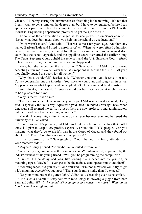wicked. I'll be registering for summer classes first thing in the morning! It's not that I really want to get a jump on the degree plan, but I have to be registered before I can apply for a part time job at the computer center. A friend of mine, a PhD in the Industrial Engineering department, promised to get me a job there!"

The topic of the conversation changed as Jessica picked up on Sam's comment. "Lena, what does Sam mean about you helping the school go coeducational?"

"Oh, it wasn't much," Lena said. "That was almost ten years ago. Another lady named Barbara Tittle and I tried to enroll in A&M. When we were refused admission because we were women, we sued for illegal discrimination. We won in district court, but the school appealed, and the appellate court overturned the earlier ruling. The Texas Supreme Court upheld the reversal, and the U.S. Supreme Court refused to hear the case. So, the bottom line is nothing happened."

"Yeah, but she helped get the ball rolling," Sam added. "A&M slowly started accepting a few more women over time, as exceptions rather than the rule. Last year, they finally opened the doors for all women."

"Why, that's wonderful!" Jessica said. "Whether you think you deserve it or not, I'd say congratulations are in order! You stuck to your guns and fought an injustice. My people know what happens when people don't take a stand and fight injustice."

"Well, thanks," Lena said. "I guess we did our best. Only now, it might turn out to be a problem for him!"

"Why is that?" Julian asked.

"There are some people who are very unhappy A&M is now coeducational," Larry said, "especially the 'old army' types who graduated a hundred years ago, back when dinosaurs still roamed the earth. A lot of them are now professors and administrators out there, and they have very long memories."

"You think some might discriminate against you because your mother sued the university?" Julian asked.

"I don't know. It's possible, but I like to think people are better than that. All I know is I plan to keep a low profile, especially around the ROTC people. Can you imagine what they'd do to me if I was in the Corps of Cadets and they found out about this? Thank God that's no longer compulsory!"

"It just occurred to me," Sam giggled. "You inherited that feisty attitude from your mother's side!"

"Maybe," Larry grinned, "or maybe *she* inherited it from *me*!"

"What are you going to do at the computer center?" Julian asked, impressed by the industriousness of his young friend. "Will you be programming the computers?"

"I wish! I'll be doing odd jobs, like loading blank paper into the printers, or mounting tapes. Maybe I'll even get to be the main system operator now and then!"

"Mounting tapes, did you say?" John smirked. "I'm not surprised you'd try to get a job mounting *something*, but tapes? That sounds more kinky than I'd expect!"

"Get your mind out of the gutter, John," Julian said, chastising even as he smiled.

"He's such a juvenile," Larry said with mock disgust, drawing a giggle from both Sam and Julia. *Why is the sound of her laughter like music to my ears? What could I do to hear her laugh again?*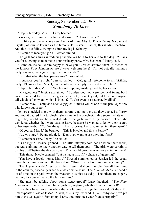#### Sunday, September 22, 1968 *Somebody To Love*

"Happy birthday, Mrs. J!" Larry beamed.

Jessica greeted him with a hug and a smile. "Thanks, Larry."

"I'd like you to meet some new friends of mine, Mrs. J. This is Penny, Nicole, and Krystal, otherwise known as the famous Ball sisters. Ladies, this is Mrs. Jacobson. And this little fellow trying to climb my leg is Schotzy!"

"It's nice to meet you girls," Jessica smiled.

The girls took turns introducing themselves both to her and to the dog. "Thank you for allowing us to come to your birthday party, Mrs. Jacobson," Penny said.

"Come on inside. We're happy to have you," Jessica assured them. "Friends of the famous *Four Musketeers* are always welcome here! I'm not actually having a party, anyway, just a gathering of a few friends."

"Isn't that what the best parties are?" Larry asked.

"I suppose you're right," Jessica smiled. "OK, girls! Welcome to my birthday party! Please call me Mrs. J, like the others, or simply Jessica if you prefer."

"Happy birthday, Mrs. J," Nicole said stepping inside, joined by her sisters.

"My goodness!" Jessica exclaimed. "I understood you were identical twins, but I wasn't prepared for this! I can guess which of you is Krystal, but how does anyone tell which is Penny and which is Nicole? You're even dressed exactly alike!"

"It's not easy," Penny and Nicole giggled, "unless you're one of the privileged few who knows our secret!"

Jessica chuckled along with them, carefully noting the way they glanced at Larry, and how it caused him to blush. She came to the conclusion this secret, whatever it might be, would not be revealed while the girls were fully dressed. Then she wondered whether they were teasing Larry because he wanted to know their secret, or because he did! "You're always full of surprises, Larry. Can *you* tell them apart?"

"Of course, Mrs. J," he beamed. "This is Nicole, and this is Penny."

"Are you sure?" Penny giggled. "Don't you want to ask anything first?"

"It's not necessary, Penny," he smiled.

"Is he right?" Jessica grinned. The little interplay told her he knew their secret, but was claiming he knew another way to tell them apart. The girls were certain to call his bluff before the day was over. That would provide even more entertainment!

"This time," Nicole grinned, "but he had a fifty-fifty chance of guessing!"

"You have a lovely home, Mrs. J," Krystal commented as Jessica led the group through the family room to the back door. "How do you like living in the country?"

"Thank you, Krystal," Jessica smiled. "We find it comfortable. We all like living in the country, especially when friends come to visit. The *Four Musketeers* spend a lot of time on the patio when the weather is as nice as today. The others are eagerly waiting for your arrival so the fun can start."

"She must be talking about some *other* group!" Larry laughed. "The *Four Musketeers* I know can have fun anywhere, anytime, whether I'm there or not!"

"But they have more fun when the whole group is together, now don't they, Mr. Smartypants?" Jessica teased. "Girls, this is my husband, Julian. Why don't we put him to the test again? Step on up, Larry, and introduce your friends properly."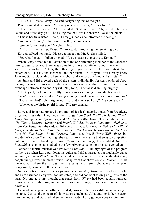"Hi, Mr. J! This is Penny," he said designating one of the girls.

Penny smiled at her sister. "It's very nice to meet you, Mr. Jacobson."

"Nice to meet you as well," Julian smiled. "Call me Julian. Oh, why do I bother? By the end of the day, you'll be calling me that 'Mr. J' nonsense like all the others!"

"This is her twin sister, Nicole," Larry grinned as he introduce the next girl.

"Welcome, Nicole," Julian smiled as they shook hands.

"Wonderful to meet you," Nicole smiled.

"And this is their sister, Krystal," Larry said, introducing the remaining girl.

Krystal offered her hand, "Pleased to meet you, Mr. J," she smiled.

"See what I mean?" Julian grinned. "It's a pleasure to meet you, Krystal."

When Larry turned his full attention to the one remaining member of the Jacobson family, Jessica sensed there was something more significant about the event than seen on the surface. "Girls, the other night, you met all of the *Four Musketeers* except one. This is Julia Jacobson, and her friend, Ed Doggett. You already know John and Sam. Guys, this is Penny, Nichol, and Krystal, the famous Ball sisters!"

As Julia and Ed greeted each of the sisters individually, Jessica wondered about the significance of this event. She was so distracted she almost missed the obvious exchange between John and Krystal. "Hi, John," Krystal said smiling brightly.

"Hi, Krystal," John replied softly. "You look as stunning as you did last week!"

"You're sweet!" she smiled. "Are you going to make some music this afternoon?"

"That's the plan!" John brightened. "What do you say, Larry? Are you ready?"

"Whenever the birthday girl is ready!" Larry grinned.

Larry and John had prepared a program of Jessica's favorite songs from Broadway plays and musicals. They began with songs from *South Pacific*, including *Bloody Mary*, *Younger Than Springtime*, and *This Nearly Was Mine*. They continued with *Oh, What a Beautiful Morning* and *People Will Say We're in Love* from *Oklahoma!* From *The Music Man* they added *Till There Was You*, followed by *With a Little Bit of Luck*, *Get Me To The Church On Time*, and *I've Grown Accustomed to Her Face* from *My Fair Lady*. From *Carousel*, Larry sang *You'll Never Walk Alone*, but avoided *If I Loved You*. During rehearsals, Larry never sang that song to completion without his voice breaking. From *Flower Drum Song*, Larry added *You Are Beautiful*, a song he had studied in the few private voice lessons he had ever taken.

Jessica's favorite musical was *Fiddler on the Roof*. The highlight of the program for her was when Larry put down his guitar and did a passable, but laughable dance singing *If I Were a Rich Man*. They ended her birthday performance with what many people thought was the most beautiful song from that show, *Sunrise, Sunset*. Unlike the original, where the various lines are sung by different characters in the play, Larry simply sang all of the verses himself.

No one noticed none of the songs from *The Sound of Music* were included. John and Sam assumed Larry was not interested, and did not want to drag up ghosts of the past. No one gave any thought that songs from *Oliver!* had been equally ignored. Frankly, because the program contained so many songs, no one even noticed these omissions.

Even when the program officially ended, however, there was still one more song to be sung. Just as the concert of show tunes concluded, Julia and her father sneaked into the house and signaled when they were ready. Larry got everyone to join him in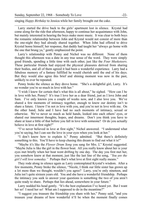singing *Happy Birthday* to Jessica while her family brought out the cake.

Larry started the drive back to the girls' apartment lost in silence. Krystal had come along for the ride that afternoon, happy to continue her acquaintance with John, but mainly interested in hearing the boys make more music. It was clear to both boys the romantic relationship between John and Krystal would not consist of more than the one-night they had already shared together. When John had offered to drive Krystal home himself, her response, that daddy had taught her "always go home with the one that brung ya," gently emphasized the point.

Larry's relationship with Penny and Nichol was no different. None of them thought this afternoon was a date in any true sense of the word. They were simply good friends, spending a little time with each other, just like the *Four Musketeers*. These particular friends had enjoyed the physical pleasures derived from sharing their bodies, and all of them agreed it had been a wonderful experience. Larry had a fabulous memory of a fantasy fulfilled he would cherish until the end of his days. But they would also agree this brief and shining moment was now in the past, unlikely to ever be repeated.

Penny broke the silence as they drove home. "She's a delightful girl, Larry. It's no wonder you're so much in love with her."

"I wish I knew for certain that's what this is all about," he sighed. "How can I be in love with her, Penny? It's true I love her as a dear friend, just as I love John and Sam. I've only known you a couple of weeks now, and I also love you. We've shared a few moments of intimacy together, enough to know our destiny isn't to share a future. I know I'm not *in* love with you, and you're not in love with me. On the other hand, Julie and I have had no such moments of intimacy, sexual or otherwise. We've never so much as held hands, looked into each others' eyes, or shared our innermost thoughts, hopes, and dreams. Don't you think you have to share at least a little of that before you fall in love with someone? Or do you actually believe in love at first sight?"

"I've never believed in love at first sight," Nichol answered. "I understand what you're saying, but I can see the love in your eyes when you look at her."

"I don't know how to explain it," Penny admitted. "But there's definitely something to this. You'll have to keep chasing this dream to find out what it is!"

"Maybe it's like the *Flower Drum Song* you sang for Mrs. J," Krystal suggested. "Maybe Julia is like the girl in the flower boat. All you really know about her is your eyes met briefly when her boat went drifting by one day. The day you first met her, you somehow knew at that moment, just like the last line of the song, *"You are the girl I will love someday."* Perhaps that's what love at first sight really means."

They rode along in silence again as Larry contemplated Krystal's wisdom. After a few moments, Penny broke the silence, "Nicole, I think our little sister has grown up a lot more than we thought, wouldn't you agree? Larry, you're only nineteen, and Julia isn't quite sixteen years old. You and she have a wonderful friendship. Perhaps the intimacy you seek to answer your questions is something the two of you aren't quite ready to share. Perhaps that lies ahead, somewhere in your future."

Larry nodded his head gently. "It's the best explanation I've heard yet. But I want her so! I need her so! What am I supposed to do in the meantime?"

"I suggest you treasure the friendship you share with her," Penny said, "and you treasure your dreams of how wonderful it'll be when the moment finally comes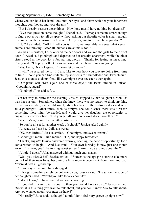where you can hold her hand, look into her eyes, and share with her your innermost thoughts, your hopes, and your dreams."

"But I already treasure those things! How long must I have nothing but dreams?"

"Give that question some thought," Nichol said. "Perhaps someone smart enough to figure out a way to tell us apart without asking our favorite color is smart enough to come up with the answer on his own. Are you going to explain how you do it?"

"No," he smiled. "All I'll tell you is I'm sometimes able to sense what certain animals are thinking. After all, humans are animals, too!"

As was his custom, Larry opened the car doors and walked the girls to their front door. Krystal said goodnight and departed to her upstairs apartment, while the older sisters stood at the door for a few parting words. "Thanks for letting us meet her," Penny said. "I hope you'll let us know now and then how things are going."

"Yes, Larry," Nichol agreed. "Please let us know."

"I will," he assured them. "I'd also like to hear how you two are doing from time to time. I hope you can find suitable replacements for Tweedledee and Tweedledum. Jeez, this sounds so damn final, like we might never see each other again!"

"Our paths will cross again one of these days," the twins smiled in unison. "Goodnight, sugar!"

"Goodnight," he said softly.

On her way to retire for the evening, Jessica stopped by her daughter's room, as was her custom. Sometimes, when she knew there was no reason to think anything further was needed, she would simply stick her head in the bedroom door and wish Julia goodnight. Other times, such as tonight, she could sense there was a reason something more might be needed, and would give her daughter the opportunity to engage in a conversation. "Did you get all your homework done, sweetheart?"

"Yes, ma'am," came the unenthusiastic reply.

"So you're all set for another week of school?" Jessica asked calmly.

"As ready as I can be," Julia answered.

"OK, then bubee," Jessica smiled. "Goodnight, and sweet dreams."

"Goodnight, mom," Julia replied. "Oh, and happy birthday!"

"Thanks, sugar!" Jessica answered warmly, opening the door of opportunity for a conversation to begin. "And just think! Your own birthday is now just one month away. This year, you'll be turning sweet sixteen! Aren't you excited about that?"

"A little, I guess," Julia answered without much enthusiasm.

"Well, you *should* be!" Jessica smiled. "Sixteen is the age girls start to take more control of their own lives, becoming a little more independent from mom and dad. You're almost all grown up!"

"If you say so, mom," Julia shrugged.

"I though something might be bothering you," Jessica said. She sat on the edge of her daughter's bed. "Would you like to talk about it?"

"I don't know," Julia answered without answering.

"If you didn't want to talk about it, then you would have said so," Jessica smiled. "So what is this thing you want to talk about, but you don't know *how* to talk about? Are you worried about your next birthday?"

"Not really," Julia said, "although I admit I don't feel very grown up right now."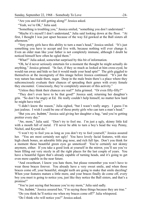"Are you and Ed still getting along?" Jessica asked.

"Yeah, we're OK," Julia said.

"Something is troubling you," Jessica smiled, "something you don't understand."

"Maybe it's myself I don't understand," Julia said looking down at the floor. "At first, I thought I was just upset because of the way Ed gawked at the Ball sisters all afternoon."

"Very pretty girls have this ability to turn a man's head," Jessica smiled. "It's just something you have to accept and live with, because nothing will ever change it. Even an older man like your father is not completely immune, although I doubt he noticed himself how often he ogled them."

"What?" Julia asked, somewhat surprised by this bit of information.

"Oh, he'd never seriously entertain for a moment the thought he might actually do anything," Jessica grinned. "In fact, if they so much as looked at him cross-eyed, he would run away and hide so fast it would made your head spin!" The girls giggled to themselves at the incongruity of this image before Jessica continued. "It's just the way nature has made them, sugar. Deep in the male brain there's a place where they subconsciously evaluate their chances of spreading their genes with every female they encounter. Consciously, they're completely unaware of this activity."

"Unless they think their chances are real?" Julia grinned. "Or even fifty-fifty?"

"They don't even have to be that good!" Jessica said, returning her daughter's grin. "So don't be angry at Ed. He really couldn't help himself, no matter how hard he might have tried."

"I didn't know the reason," Julia sighed, "but I wasn't really angry. I guess I'm just jealous. I wish I could be one of those pretty girls who can turn a man's head."

"But you *are*, bubee," Jessica said giving her daughter a hug, "and you're getting prettier every day."

"Aw, mom," Julia said. "Don't try to fool me. I'm just a ugly, skinny little kid with a mouth full of metal. I'll never be able to turn a boy's head the way Penny, Nichol, and Krystal do."

"I won't try to fool you as long as you don't try to fool yourself," Jessica assured her. "You are most certainly not ugly! You have lovely facial features, with nice high cheek bones, an adorable little pug nose, and rich full lips. Don't you think for a moment those beautiful green eyes go unnoticed! You're certainly not skinny anymore, either. If you take a good look at yourself in the mirror, you'll see you've been filling out very nicely in all the right places for the last couple of years. You have a beautiful figure that's already capable of turning heads, and it's going to get even more capable in the near future.

"And sweetheart, I know you hate them, but please remember you won't have to wear those braces forever. You already have a very sweet smile, and when those braces come off, your beautiful, straight teeth are going to make that smile dazzling! When your features mature a little more, and your braces finally do come off, every boy you meet is going to notice you, just like they notice the Ball sisters, and that's a promise!"

"You're just saying that because you're my mom," Julia said sadly.

"No, bubee," Jessica assured her, "I'm saying these things because they are true."

"Do you think he'll notice me when my braces come off?" Julia whispered.

"Do I think *who* will notice you?" Jessica asked.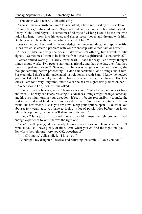"You know who I mean," Julia said softly.

"You still have a crush on him?" Jessica asked, a little surprised by this revelation.

"Sometimes," Julia confessed. "Especially when I see him with beautiful girls like Penny, Nichol, and Krystal. I sometimes find myself wishing I could be the one who holds his hand, looks into his eyes, and shares secret hopes and dreams with him. But he wants to be with Sam, so what chance do I have?"

Jessica nodded her head to acknowledge her understanding, and spoke softly. "Does this crush create a problem with your friendship with either Sam or Larry?"

"I don't understand why she doesn't take what he's offering like I would," Julia sighed. "Sometimes I want to be both his friend *and* his girlfriend. Is that terrible?"

Jessica smiled warmly. "Hardly, sweetheart. That's the way I've always thought things should work. Two people start out as friends, and then one day, they find they have changed into lovers." Sensing that Julia was hanging on her next words, she thought carefully before proceeding. "I don't understand a lot of things about him. For example, I don't really understand his relationship with Sam. I know he noticed you, but I don't know why he didn't chase you when he had the chance. But he's known Sam for a very long time, and it's clear he has his sights firmly fixed on her."

"What should I do, mom?" Julia asked.

"I know it won't be easy, sugar," Jessica answered, "but all you can do is sit back and wait. The way she keeps resisting his advances, things might change someday, and his eyes might turn in your direction. If so, it'll be *his* responsibility to make the first move, and until he does, all you can do is wait. You should continue to be his friend, his best friend, just as you are now. Keep your options open. Like we talked about a few years ago, you have to look at a lot of possibilities before you know who's the right one, the one you'll share your life with."

"I know," Julia said. "I also said I hoped I wouldn't meet the right boy until I had enough experience to *know* he was the right one."

"You're still young, almost ready to turn sweet sixteen," Jessica smiled. "I promise you still have plenty of time. And when you *do* find the right one, you'll *know* he's the right one! Are you OK, sweetheart?"

"I'm OK, mom," Julia smiled. "I love you!"

"Goodnight, my daughter," Jessica said returning that smile. "I love you, too."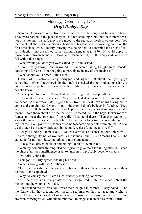#### Monday, December 1, 1969 *Draft Dodger Rag*

Sam and John were in the front seat of her car, while Larry and Julia sat in back. They were parked in the place they called their smoking room, but their interest was not on smoking. Instead, they were glued to the radio, as faceless voices described the events at the Selective Service National Headquarters in Washington. For the first time since 1942, a lottery drawing was being held to determine the order of call for induction into the armed forces during calendar year 1970. It would apply to those born between January 1, 1944 and December 31, 1950. Larry and John both fell within this range.

"What would you do if you were called up?" Sam asked.

"I don't really know," John answered. "I've been thinking I might go to Canada. One thing's for sure  $-1$ 'm not going to participate in any of this madness."

"What about you, Larry?" Julia asked.

Unsure of his actions, Larry shrugged and sighed. "I should tell you guys something. When I registered for the draft, I checked the box indicating I have a conscientious objection to serving in the military. I just wanted to go on record, doncha know."

"I hear you," John said. "I saw that box, but I figured it was pointless."

"I thought so, too," Larry said, "but I checked it anyway. The strangest thing happened. A few weeks later, I got a letter from the local draft board asking me to come and explain. So I went in and told them I didn't believe in fighting. They asked me to tell them things that had happened in my life to demonstrate what I meant. I told them about the time that creep cornered me in the boys' locker room at Lamar and beat the crap out of me while I just stood there. Then they wanted to know the names of some people who'd known me a long time who might confirm my beliefs. So I gave them names of some teachers and people from church. A few weeks later, I got a new draft card in the mail, reclassifying me as 1-A-O."

"Are you kidding?" John asked. "You're classified as a conscientious objector?"

"Yes, although it's not as wonderful as it sounds, John. 1-A-O means I can still be called up for military duty, but only as a non-combatant."

"Like a truck driver, cook, or something like that?" Sam asked.

"With my computer training, it'd be logical to give me a job in logistics, but since the phrase 'military intelligence' is an oxymoron, I'd probably become a medic."

"Oh, shit!" John said.

"You got it," Larry agreed, shaking his head.

"What's wrong with that?" Julia asked.

"The first guys shot are the ones with brass on their collars or a red cross on their helmet!" John explained.

"Why do you say that?" Sam asked, suddenly looking concerned.

"Kill the officers and the grunts will be unorganized," John explained. "Kill the medics and the wounded will die."

"I understand the officers don't wear their insignia in combat," Larry noted. "The men know who they are, and don't need to see brass on their collar to know who to obey. I hear the medics don't wear those red cross helmets anymore, either! Some are even carrying rifles, without ammunition, to disguise themselves from Charlie."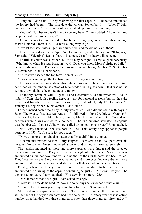"Hang on," John said. "They're drawing the first capsule." The radio announced the lottery had begun. The first date drawn was September 14. "Whew!" John laughed nervously. "I had visions of being called up tomorrow morning!"

"Me, too! Number two isn't likely to be any better," Larry added. "I wonder how deep the draft will go, anyway?"

"A guy I know told me they'd probably be calling up guys with numbers as high as two hundred," John said. "We have a long way to go!"

"I won't feel safe unless I get three sixty-five, and maybe not even then!"

The next dates drawn were April 24, December 30, and February 14. "It figures," Sam said. "Valentine's Day is fourth. I suppose Jesus' birthday will be next."

The fifth selection was October 18. "You may be right!" Larry laughed nervously. "Who knows when He was born, anyway? Does you know Moses' birthday, Julia?" he asked rhetorically. The next selections were September 6, October 26, September 7, November 22, and December 6.

"At least we escaped the top ten!" John chuckled.

"I hope we can escape the top two hundred," Larry said seriously.

The boys were nervous about this whole process. Their plans for the future depended on the random selection of blue beads from a glass bowl. If it was not so serious, it would have been ludicrously funny!

The lottery continued with August 31 and December 7, "a date which will live in infamy," Sam joked, also feeling nervous – not for personal reasons, but for the sake of her best friends. The next numbers were July 8, April 11, July 12, December 29, January 15, September 26, November 1, and June 4.

Larry flinched each time a day in July was called. John did the same with days in June. The twenty-first date was August 10, followed by June 26, July 24, October 5, February 19, December 14, July 21, June 5, March 2, and March 31. On and on, capsules were drawn and dates announced. The one hundred seventeenth capsule was October 22. "I guess Julia will get called up sometime next year," John laughed.

"No," Larry chuckled, "she was born in 1952. This lottery only applies to people born up to 1950. You're safe for now, sugar."

"Do you suppose it might also matter that I'm a girl?" Julia giggled.

"It damn sure matters to me!" Larry laughed. Sam saw a sad look pass over his face, as if to say he *wished* it mattered, anyway, and smiled at Larry reassuringly.

The tension mounted as more and more capsules were drawn and the selected dates came and went. They all breathed a sigh of relief when March 19 was announced as number two hundred, and neither of their birth dates had been called. They became more and more relaxed as more and more capsules were drawn, more and more dates were called out, and still their birth dates had not been mentioned.

Finally, when the lottery reached number two hundred forty-five, the radio announced the drawing of the capsule containing August 26. "It looks like you'll be the next to go, Sam," Larry laughed. "You *were* born before 1950!"

"Does it matter that *I'm* a girl?" Sam asked teasingly.

"Prove it!" Larry demanded. "Show me some physical evidence of that claim!"

"I should have known you'd say something like that!" Sam laughed.

More and more capsules were drawn. They reached number three hundred, and still neither of the boys' birth dates had been selected. The lottery went past selection number three hundred ten, three hundred twenty, then three hundred thirty, and *still*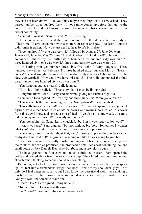they had not been drawn. "Do you think maybe they forgot us?" Larry asked. They passed number three hundred forty. "I hope mine comes up before they get to the end! I'd hate to find out I missed hearing it somewhere back around number fortytwo or something!"

"You didn't miss it," Sam insisted. "Keep listening."

The announcement declared the three hundred fiftieth date selected was July 2. "That's me!" Larry exclaimed with a mixture of relief and joy. "At least I know I didn't miss it earlier. Now we just need to hear John's birth date!"

Three hundred fifty-one was April 25, followed by August 27, June 29, March 14, January 27, June 14, May 26, June 24, and October 1. "Good grief!" John said. "I'm convinced I missed my *own* birth date!" Number three hundred sixty was June 20, three hundred sixty-one was May 25, three hundred sixty-two was March 29.

"I'm betting you get number three sixty-five, John!" Larry laughed. Three hundred sixty-three was February 21, three hundred sixty-four was May 5. "Here it comes!" he said smugly. Number three hundred sixty-five was February 26. "Huh? Now *I'm* worried! How could we have missed it?" The radio announced the final date, number three hundred sixty-*six*, was June 8.

"You forgot about leap years!" Julia laughed.

"Holy shit!" John yelled. "Three sixty-six – I must be living right!"

"Congratulations, John," Larry said sincerely, giving his friend a high five.

"You, too," John replied. "Three fifty and three sixty-six! We're *good*, dude!"

"This is even better than winning the Irish Sweepstakes!" Larry laughed.

"This calls for a celebration!" Sam announced. "I have a surprise for you guys. I figured we'd either need to celebrate or drown our worries, so I called in a favor from this guy I know and scored a pint of Jack. I've also got some weed, all safely hidden away in the trunk. Who's ready to join me?"

"You took a big risk, Sam," Larry chuckled, "but I'm *always* ready to join you!"

"I know you are," Sam giggled, "but not tonight, big boy. Sometimes I wonder what you'd do if I suddenly accepted one of your indecent proposals."

"You know, Sam, I wonder about that, also," Larry said pretending to be serious. "Why don't we find out!" he grinned, reaching out like he was going to grab her.

"Eek!" she screamed playfully, easily jumping out of his reach. When she opened the trunk of her car, as promised, she produced a small ice chest containing ice, one small bottle of Jack Daniels Kentucky Bourbon, and a few plastic cups.

The boys grabbed the four cups and added a little ice to each. Sam opened the bottle and poured about two ounces into each cup. They lifted their cups and looked at each other, thinking someone should say something.

Beginning to feel a little more serious about the matter, Larry was the first to speak up. "I feel like a tremendous weight has been lifted off my shoulders, guys. Not only do I feel better personally, but I also know my best friend won't face making a terrible choice. John, I would have supported whatever choice you made. Thank God you won't be forced to make one!"

"Hear! Hear!" Sam agreed, lifting her cup.

"To the future!" John said with a smile.

"Le Chaim!" Larry and Julia said enthusiastically.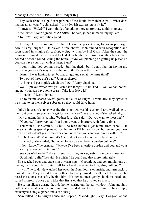They each drank a significant portion of the liquid from their cups. "What does that mean, anyway?" John asked. "It's a Jewish expression, isn't it?"

"It means, *'To Life!'* I can't think of anything more appropriate at this moment!"

"Me, either," John agreed. "Le chaim!" he said, joined immediately by Sam.

"To life!" Larry and Julia agreed.

The boys felt like singing. "John, I know the perfect song for us to play right now!" Larry laughed. He played a few chords, John smiled with recognition and soon joined in, singing *Draft Dodger Rag*, written by Phil Ochs. After the song, the foursome drained their cups and looked at each other with smiles on their faces. Sam poured a second round, killing the bottle. "Are you planning on getting us pissed so you can have your way with us later, Sam?"

"I don't mind you getting pissed," Sam laughed, "but I don't plan on having my way or anyone else's way with either or both of you at this time!"

"Damn! I was hoping to get booze, drugs, and sex at the same time!"

"Two out of three ain't bad," John snickered.

"As long as I get to pick which two I get!" Larry chuckled.

"Well, *I* picked which two you can have tonight," Sam said. "You've had booze, and now you can have some grass. Take it or leave it!"

"I'll take it!" Larry sighed.

The foursome shared several joints and a lot of laughs. Eventually, they agreed it was time to let themselves sober up so they could drive home.

Julia's house, of course, was the first stop. As was his custom, Larry walked her to the front door. "So you won't get lost on the way," he explained if she asked why.

"My grandmother is coming Wednesday," she said. "Do you want to meet her?"

"Of course," Larry replied, "but I don't want to interfere with family time."

"You won't," she smiled. "She'll be here before I get home from school. If there's anything special planned for that night I'll let you know, but unless you hear from me, why don't you come over about 6:00 and you can have dinner with us."

"I'd be honored! Make sure it's OK. I don't want to impose or be a burden."

"I'll check," she smiled, "but when have you ever been a burden out here?"

"I don't know," he grinned. "Maybe I've been a terrible burden and you and your folks are just too nice to tell me!"

"See you Wednesday," she said, subtly calling his suggestion complete nonsense.

"Goodnight, Julie," he said. He wished he could say that more intimately.

She reached over and gave him a warm hug. "Goodnight, and congratulations on having such a good birth date. Tell John I said the same for him, also, will you?"

"I will," he said. He watched her open the front door, step inside, and turn back to look at him. They waved to each other. As Larry turned to walk back to the car, he heard the door close softly behind him. He sighed once, gently shook his head, and forced himself to once again take that first step that he disliked so much.

He sat in silence during the ride home, staring out the car window. John and Sam both knew what was on his mind, and decided not to disturb him. They simply exchanged a single glance and a sad shrug.

Sam pulled up to Larry's house and stopped. "Goodnight, Larry. Congratulations